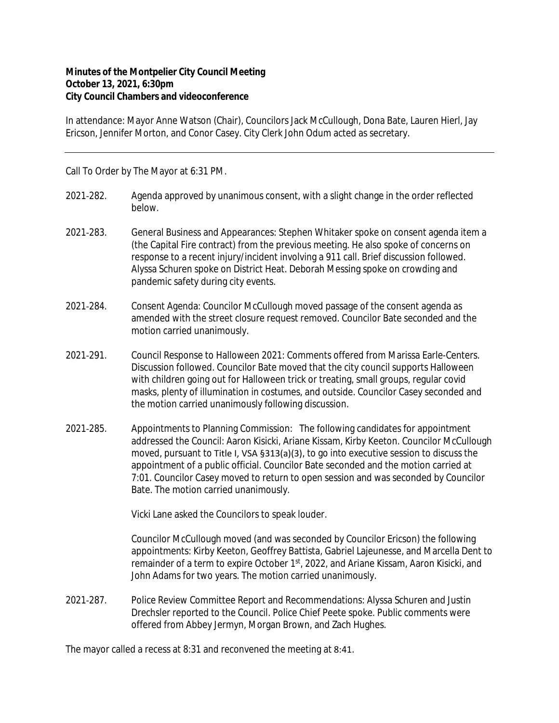## **Minutes of the Montpelier City Council Meeting October 13, 2021, 6:30pm City Council Chambers and videoconference**

In attendance: Mayor Anne Watson (Chair), Councilors Jack McCullough, Dona Bate, Lauren Hierl, Jay Ericson, Jennifer Morton, and Conor Casey. City Clerk John Odum acted as secretary.

Call To Order by The Mayor at 6:31 PM.

- 2021-282. Agenda approved by unanimous consent, with a slight change in the order reflected below.
- 2021‐283. General Business and Appearances: Stephen Whitaker spoke on consent agenda item a (the Capital Fire contract) from the previous meeting. He also spoke of concerns on response to a recent injury/incident involving a 911 call. Brief discussion followed. Alyssa Schuren spoke on District Heat. Deborah Messing spoke on crowding and pandemic safety during city events.
- 2021‐284. Consent Agenda: Councilor McCullough moved passage of the consent agenda as amended with the street closure request removed. Councilor Bate seconded and the motion carried unanimously.
- 2021‐291. Council Response to Halloween 2021: Comments offered from Marissa Earle-Centers. Discussion followed. Councilor Bate moved that the city council supports Halloween with children going out for Halloween trick or treating, small groups, regular covid masks, plenty of illumination in costumes, and outside. Councilor Casey seconded and the motion carried unanimously following discussion.
- 2021-285. Appointments to Planning Commission: The following candidates for appointment addressed the Council: Aaron Kisicki, Ariane Kissam, Kirby Keeton. Councilor McCullough moved, pursuant to Title I, VSA §313(a)(3), to go into executive session to discuss the appointment of a public official. Councilor Bate seconded and the motion carried at 7:01. Councilor Casey moved to return to open session and was seconded by Councilor Bate. The motion carried unanimously.

Vicki Lane asked the Councilors to speak louder.

Councilor McCullough moved (and was seconded by Councilor Ericson) the following appointments: Kirby Keeton, Geoffrey Battista, Gabriel Lajeunesse, and Marcella Dent to remainder of a term to expire October 1<sup>st</sup>, 2022, and Ariane Kissam, Aaron Kisicki, and John Adams for two years. The motion carried unanimously.

2021‐287. Police Review Committee Report and Recommendations: Alyssa Schuren and Justin Drechsler reported to the Council. Police Chief Peete spoke. Public comments were offered from Abbey Jermyn, Morgan Brown, and Zach Hughes.

The mayor called a recess at 8:31 and reconvened the meeting at 8:41.